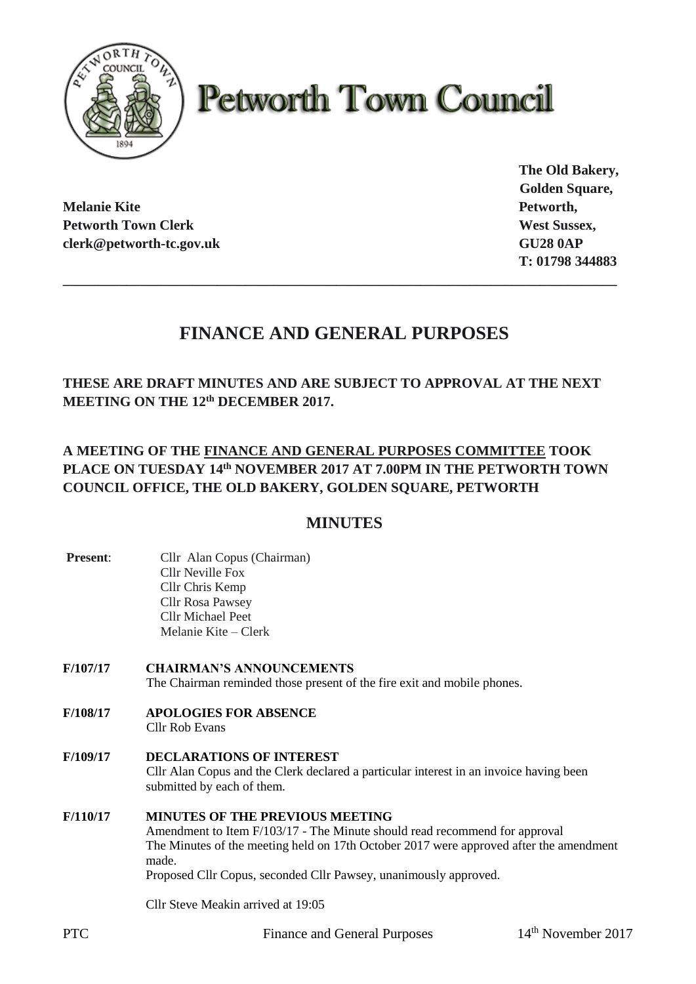

# **Petworth Town Council**

**Melanie Kite Petworth, Petworth Town Clerk West Sussex, West Sussex, West Sussex, West Sussex, West Sussex, West Sussex, West Sussex, West Sussex, West Sussex, West Sussex, West Sussex, West Sussex, West Sussex, West Sussex, West Sussex, West S clerk@petworth-tc.gov.uk GU28 0AP**

**The Old Bakery, Golden Square, T: 01798 344883**

# **FINANCE AND GENERAL PURPOSES**

**\_\_\_\_\_\_\_\_\_\_\_\_\_\_\_\_\_\_\_\_\_\_\_\_\_\_\_\_\_\_\_\_\_\_\_\_\_\_\_\_\_\_\_\_\_\_\_\_\_\_\_\_\_\_\_\_\_\_\_\_\_\_\_\_\_\_\_\_\_\_\_\_\_\_\_\_\_\_\_**

**THESE ARE DRAFT MINUTES AND ARE SUBJECT TO APPROVAL AT THE NEXT MEETING ON THE 12th DECEMBER 2017.**

## **A MEETING OF THE FINANCE AND GENERAL PURPOSES COMMITTEE TOOK PLACE ON TUESDAY 14th NOVEMBER 2017 AT 7.00PM IN THE PETWORTH TOWN COUNCIL OFFICE, THE OLD BAKERY, GOLDEN SQUARE, PETWORTH**

## **MINUTES**

- **Present:** Cllr Alan Copus (Chairman) Cllr Neville Fox Cllr Chris Kemp Cllr Rosa Pawsey Cllr Michael Peet Melanie Kite – Clerk
- **F/107/17 CHAIRMAN'S ANNOUNCEMENTS** The Chairman reminded those present of the fire exit and mobile phones.
- **F/108/17 APOLOGIES FOR ABSENCE** Cllr Rob Evans
- **F/109/17 DECLARATIONS OF INTEREST** Cllr Alan Copus and the Clerk declared a particular interest in an invoice having been submitted by each of them.
- **F/110/17 MINUTES OF THE PREVIOUS MEETING** Amendment to Item F/103/17 - The Minute should read recommend for approval The Minutes of the meeting held on 17th October 2017 were approved after the amendment made. Proposed Cllr Copus, seconded Cllr Pawsey, unanimously approved.

Cllr Steve Meakin arrived at 19:05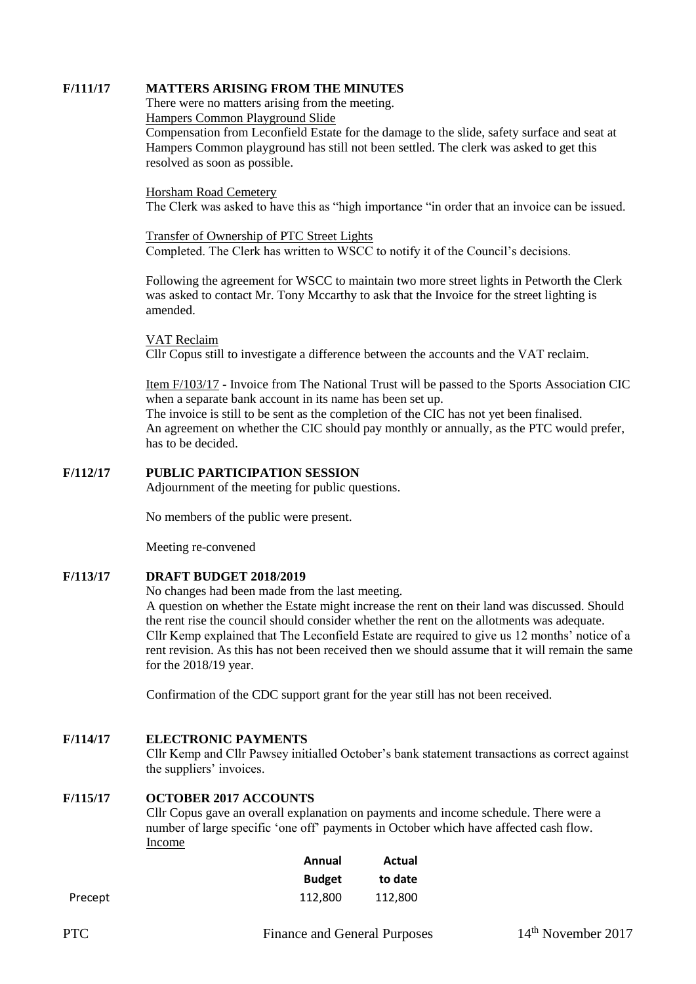#### **F/111/17 MATTERS ARISING FROM THE MINUTES**

There were no matters arising from the meeting.

Hampers Common Playground Slide

Compensation from Leconfield Estate for the damage to the slide, safety surface and seat at Hampers Common playground has still not been settled. The clerk was asked to get this resolved as soon as possible.

#### Horsham Road Cemetery

The Clerk was asked to have this as "high importance "in order that an invoice can be issued.

Transfer of Ownership of PTC Street Lights Completed. The Clerk has written to WSCC to notify it of the Council's decisions.

Following the agreement for WSCC to maintain two more street lights in Petworth the Clerk was asked to contact Mr. Tony Mccarthy to ask that the Invoice for the street lighting is amended.

VAT Reclaim

Cllr Copus still to investigate a difference between the accounts and the VAT reclaim.

Item F/103/17 - Invoice from The National Trust will be passed to the Sports Association CIC when a separate bank account in its name has been set up. The invoice is still to be sent as the completion of the CIC has not yet been finalised. An agreement on whether the CIC should pay monthly or annually, as the PTC would prefer, has to be decided.

#### **F/112/17 PUBLIC PARTICIPATION SESSION**

Adjournment of the meeting for public questions.

No members of the public were present.

Meeting re-convened

#### **F/113/17 DRAFT BUDGET 2018/2019**

No changes had been made from the last meeting.

A question on whether the Estate might increase the rent on their land was discussed. Should the rent rise the council should consider whether the rent on the allotments was adequate. Cllr Kemp explained that The Leconfield Estate are required to give us 12 months' notice of a rent revision. As this has not been received then we should assume that it will remain the same for the 2018/19 year.

Confirmation of the CDC support grant for the year still has not been received.

#### **F/114/17 ELECTRONIC PAYMENTS**

Cllr Kemp and Cllr Pawsey initialled October's bank statement transactions as correct against the suppliers' invoices.

#### **F/115/17 OCTOBER 2017 ACCOUNTS**

Cllr Copus gave an overall explanation on payments and income schedule. There were a number of large specific 'one off' payments in October which have affected cash flow. Income

|         | Annual        | Actual  |
|---------|---------------|---------|
|         | <b>Budget</b> | to date |
| Precept | 112,800       | 112.800 |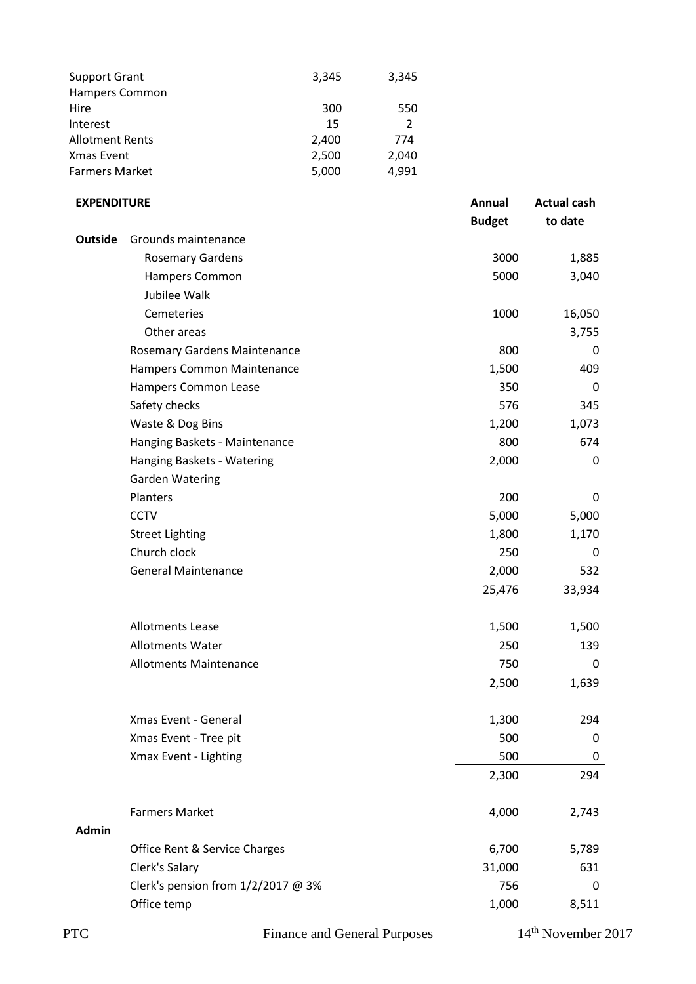| 3,345 | 3,345 |
|-------|-------|
|       |       |
| 300   | 550   |
| 15    | 2     |
| 2,400 | 774   |
| 2,500 | 2,040 |
| 5,000 | 4,991 |
|       |       |

#### **EXPENDITURE Annual Actual cash**

|                |                                    | <b>Budget</b> | to date |
|----------------|------------------------------------|---------------|---------|
| <b>Outside</b> | Grounds maintenance                |               |         |
|                | <b>Rosemary Gardens</b>            | 3000          | 1,885   |
|                | Hampers Common                     | 5000          | 3,040   |
|                | Jubilee Walk                       |               |         |
|                | Cemeteries                         | 1000          | 16,050  |
|                | Other areas                        |               | 3,755   |
|                | Rosemary Gardens Maintenance       | 800           | 0       |
|                | Hampers Common Maintenance         | 1,500         | 409     |
|                | Hampers Common Lease               | 350           | 0       |
|                | Safety checks                      | 576           | 345     |
|                | Waste & Dog Bins                   | 1,200         | 1,073   |
|                | Hanging Baskets - Maintenance      | 800           | 674     |
|                | Hanging Baskets - Watering         | 2,000         | 0       |
|                | <b>Garden Watering</b>             |               |         |
|                | Planters                           | 200           | 0       |
|                | <b>CCTV</b>                        | 5,000         | 5,000   |
|                | <b>Street Lighting</b>             | 1,800         | 1,170   |
|                | Church clock                       | 250           | 0       |
|                | <b>General Maintenance</b>         | 2,000         | 532     |
|                |                                    | 25,476        | 33,934  |
|                | <b>Allotments Lease</b>            | 1,500         | 1,500   |
|                | <b>Allotments Water</b>            | 250           | 139     |
|                | <b>Allotments Maintenance</b>      | 750           | 0       |
|                |                                    | 2,500         | 1,639   |
|                | Xmas Event - General               | 1,300         | 294     |
|                | Xmas Event - Tree pit              | 500           | U       |
|                | Xmax Event - Lighting              | 500           | 0       |
|                |                                    | 2,300         | 294     |
|                | <b>Farmers Market</b>              | 4,000         | 2,743   |
| <b>Admin</b>   |                                    |               |         |
|                | Office Rent & Service Charges      | 6,700         | 5,789   |
|                | Clerk's Salary                     | 31,000        | 631     |
|                | Clerk's pension from 1/2/2017 @ 3% | 756           | 0       |
|                | Office temp                        | 1,000         | 8,511   |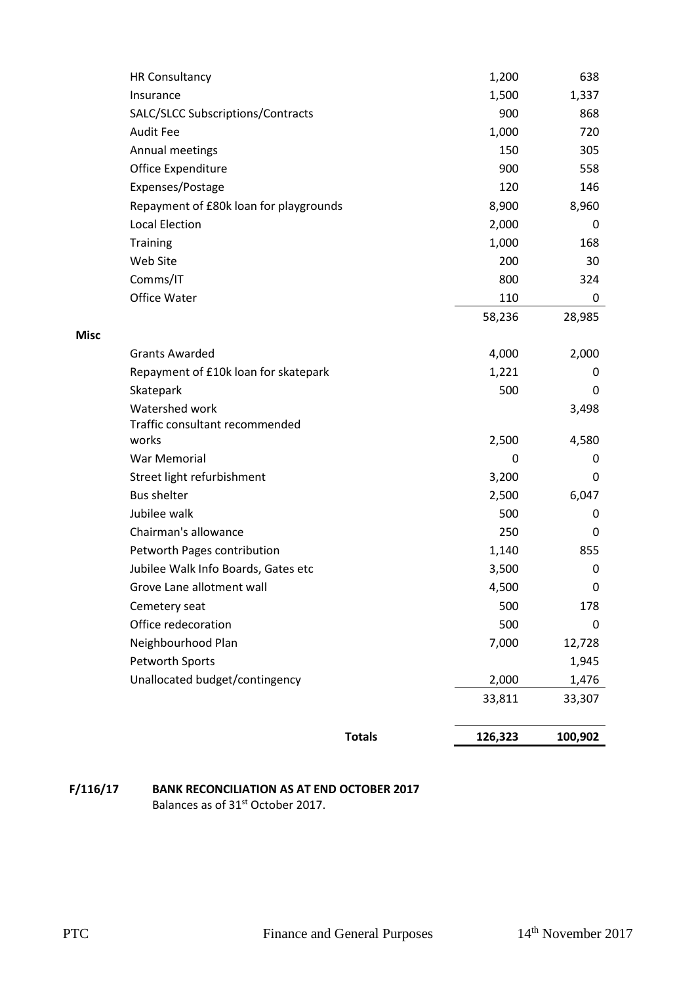|             |                                                                    | <b>Totals</b> | 126,323        | 100,902      |
|-------------|--------------------------------------------------------------------|---------------|----------------|--------------|
|             |                                                                    |               |                |              |
|             |                                                                    |               | 33,811         | 33,307       |
|             | Unallocated budget/contingency                                     |               | 2,000          | 1,476        |
|             | Petworth Sports                                                    |               |                | 1,945        |
|             | Neighbourhood Plan                                                 |               | 7,000          | 12,728       |
|             | Office redecoration                                                |               | 500            | 0            |
|             | Cemetery seat                                                      |               | 500            | 178          |
|             | Grove Lane allotment wall                                          |               | 3,500<br>4,500 | 0<br>0       |
|             | Petworth Pages contribution<br>Jubilee Walk Info Boards, Gates etc |               | 1,140          | 855          |
|             |                                                                    |               | 250            | 0            |
|             | Jubilee walk<br>Chairman's allowance                               |               | 500            | 0            |
|             | <b>Bus shelter</b>                                                 |               | 2,500          | 6,047        |
|             | Street light refurbishment                                         |               | 3,200          | 0            |
|             | War Memorial                                                       |               | 0              | 0            |
|             | works                                                              |               | 2,500          | 4,580        |
|             | Traffic consultant recommended                                     |               |                |              |
|             | Watershed work                                                     |               |                | 3,498        |
|             | Skatepark                                                          |               | 500            | 0            |
|             | Repayment of £10k loan for skatepark                               |               | 1,221          | 0            |
|             | <b>Grants Awarded</b>                                              |               | 4,000          | 2,000        |
| <b>Misc</b> |                                                                    |               |                |              |
|             |                                                                    |               | 58,236         | 28,985       |
|             | Office Water                                                       |               | 110            | 0            |
|             | Comms/IT                                                           |               | 800            | 324          |
|             | Web Site                                                           |               | 200            | 30           |
|             | <b>Training</b>                                                    |               | 1,000          | 168          |
|             | <b>Local Election</b>                                              |               | 2,000          | 0            |
|             | Repayment of £80k loan for playgrounds                             |               | 8,900          | 8,960        |
|             | Expenses/Postage                                                   |               | 120            | 146          |
|             | Office Expenditure                                                 |               | 900            | 558          |
|             | Annual meetings                                                    |               | 150            | 305          |
|             | <b>Audit Fee</b>                                                   |               | 1,000          | 720          |
|             | Insurance<br>SALC/SLCC Subscriptions/Contracts                     |               | 1,500<br>900   | 1,337<br>868 |
|             | <b>HR Consultancy</b>                                              |               | 1,200          | 638          |
|             |                                                                    |               |                |              |

**F/116/17 BANK RECONCILIATION AS AT END OCTOBER 2017** Balances as of 31st October 2017.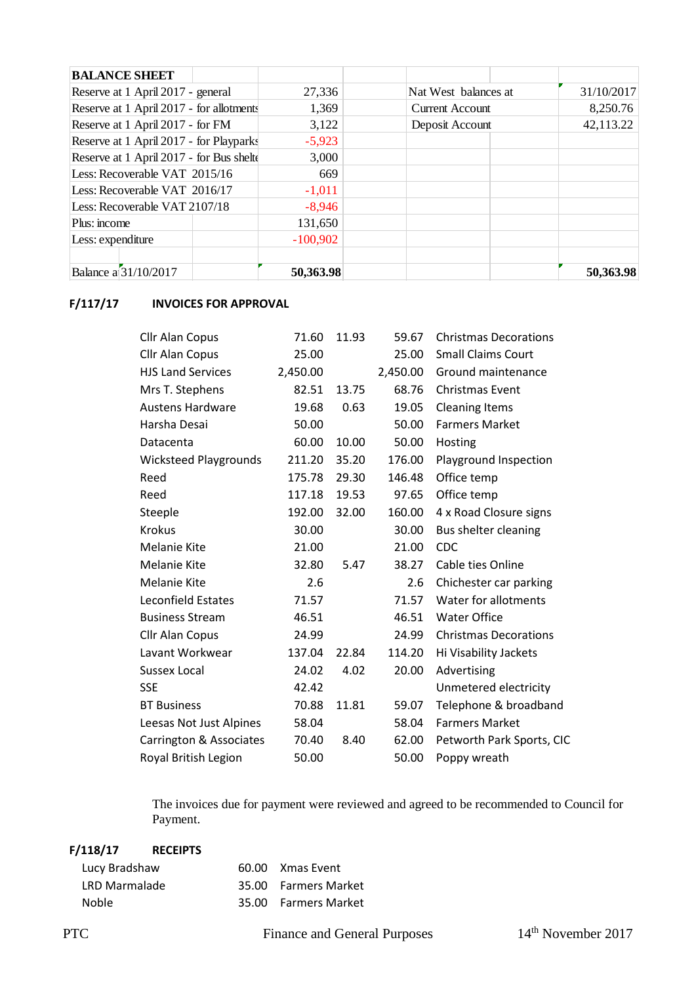| <b>BALANCE SHEET</b>                     |            |                        |            |
|------------------------------------------|------------|------------------------|------------|
| Reserve at 1 April 2017 - general        | 27,336     | Nat West balances at   | 31/10/2017 |
| Reserve at 1 April 2017 - for allotments | 1,369      | <b>Current Account</b> | 8,250.76   |
| Reserve at 1 April 2017 - for FM         | 3,122      | Deposit Account        | 42,113.22  |
| Reserve at 1 April 2017 - for Playparks  | $-5,923$   |                        |            |
| Reserve at 1 April 2017 - for Bus shelt  | 3,000      |                        |            |
| Less: Recoverable VAT 2015/16            | 669        |                        |            |
| Less: Recoverable VAT 2016/17            | $-1,011$   |                        |            |
| Less: Recoverable VAT 2107/18            | $-8,946$   |                        |            |
| Plus: income                             | 131,650    |                        |            |
| Less: expenditure                        | $-100,902$ |                        |            |
|                                          |            |                        |            |
| Balance a 31/10/2017                     | 50,363.98  |                        | 50,363.98  |

#### **F/117/17 INVOICES FOR APPROVAL**

| Cllr Alan Copus              | 71.60    | 11.93 | 59.67    | <b>Christmas Decorations</b> |
|------------------------------|----------|-------|----------|------------------------------|
| Cllr Alan Copus              | 25.00    |       | 25.00    | <b>Small Claims Court</b>    |
| <b>HJS Land Services</b>     | 2,450.00 |       | 2,450.00 | Ground maintenance           |
| Mrs T. Stephens              | 82.51    | 13.75 | 68.76    | <b>Christmas Event</b>       |
| <b>Austens Hardware</b>      | 19.68    | 0.63  | 19.05    | <b>Cleaning Items</b>        |
| Harsha Desai                 | 50.00    |       | 50.00    | <b>Farmers Market</b>        |
| Datacenta                    | 60.00    | 10.00 | 50.00    | Hosting                      |
| <b>Wicksteed Playgrounds</b> | 211.20   | 35.20 | 176.00   | Playground Inspection        |
| Reed                         | 175.78   | 29.30 | 146.48   | Office temp                  |
| Reed                         | 117.18   | 19.53 | 97.65    | Office temp                  |
| Steeple                      | 192.00   | 32.00 | 160.00   | 4 x Road Closure signs       |
| <b>Krokus</b>                | 30.00    |       | 30.00    | Bus shelter cleaning         |
| <b>Melanie Kite</b>          | 21.00    |       | 21.00    | <b>CDC</b>                   |
| <b>Melanie Kite</b>          | 32.80    | 5.47  | 38.27    | Cable ties Online            |
| <b>Melanie Kite</b>          | 2.6      |       | 2.6      | Chichester car parking       |
| <b>Leconfield Estates</b>    | 71.57    |       | 71.57    | Water for allotments         |
| <b>Business Stream</b>       | 46.51    |       | 46.51    | <b>Water Office</b>          |
| Cllr Alan Copus              | 24.99    |       | 24.99    | <b>Christmas Decorations</b> |
| Lavant Workwear              | 137.04   | 22.84 | 114.20   | Hi Visability Jackets        |
| <b>Sussex Local</b>          | 24.02    | 4.02  | 20.00    | Advertising                  |
| <b>SSE</b>                   | 42.42    |       |          | Unmetered electricity        |
| <b>BT Business</b>           | 70.88    | 11.81 | 59.07    | Telephone & broadband        |
| Leesas Not Just Alpines      | 58.04    |       | 58.04    | <b>Farmers Market</b>        |
| Carrington & Associates      | 70.40    | 8.40  | 62.00    | Petworth Park Sports, CIC    |
| Royal British Legion         | 50.00    |       | 50.00    | Poppy wreath                 |

The invoices due for payment were reviewed and agreed to be recommended to Council for Payment.

| F/118/17      | <b>RECEIPTS</b> |                      |
|---------------|-----------------|----------------------|
| Lucy Bradshaw |                 | 60.00 Xmas Event     |
| LRD Marmalade |                 | 35.00 Farmers Market |
| <b>Noble</b>  |                 | 35.00 Farmers Market |

PTC Finance and General Purposes 14<sup>th</sup> November 2017